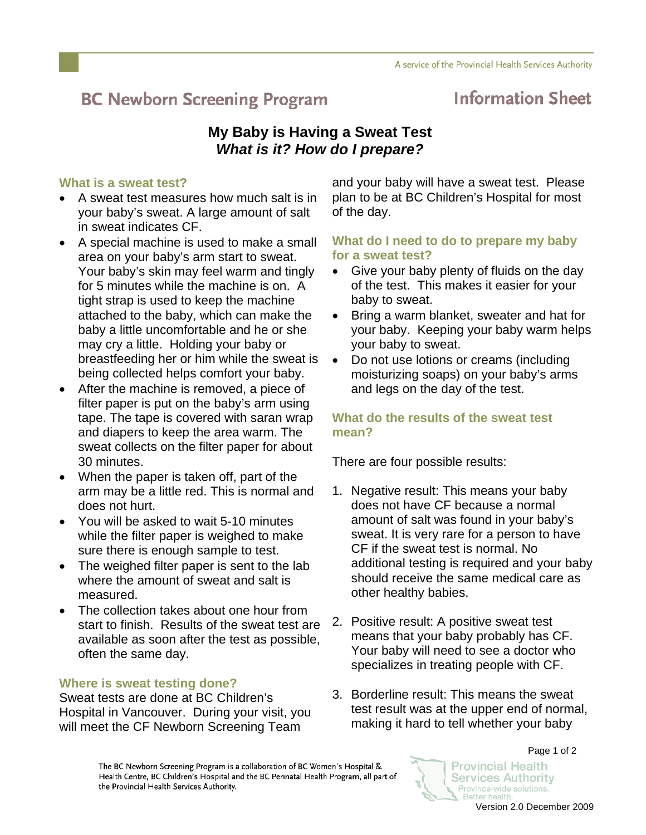# **BC Newborn Screening Program**

## **Information Sheet**

### **My Baby is Having a Sweat Test**  *What is it? How do I prepare?*

#### **What is a sweat test?**

- A sweat test measures how much salt is in your baby's sweat. A large amount of salt in sweat indicates CF.
- A special machine is used to make a small area on your baby's arm start to sweat. Your baby's skin may feel warm and tingly for 5 minutes while the machine is on. A tight strap is used to keep the machine attached to the baby, which can make the baby a little uncomfortable and he or she may cry a little. Holding your baby or breastfeeding her or him while the sweat is being collected helps comfort your baby.
- After the machine is removed, a piece of filter paper is put on the baby's arm using tape. The tape is covered with saran wrap and diapers to keep the area warm. The sweat collects on the filter paper for about 30 minutes.
- When the paper is taken off, part of the arm may be a little red. This is normal and does not hurt.
- You will be asked to wait 5-10 minutes while the filter paper is weighed to make sure there is enough sample to test.
- The weighed filter paper is sent to the lab where the amount of sweat and salt is measured.
- The collection takes about one hour from start to finish. Results of the sweat test are available as soon after the test as possible, often the same day.

#### **Where is sweat testing done?**

Sweat tests are done at BC Children's Hospital in Vancouver. During your visit, you will meet the CF Newborn Screening Team

and your baby will have a sweat test. Please plan to be at BC Children's Hospital for most of the day.

#### **What do I need to do to prepare my baby for a sweat test?**

- Give your baby plenty of fluids on the day of the test. This makes it easier for your baby to sweat.
- Bring a warm blanket, sweater and hat for your baby. Keeping your baby warm helps your baby to sweat.
- Do not use lotions or creams (including moisturizing soaps) on your baby's arms and legs on the day of the test.

#### **What do the results of the sweat test mean?**

There are four possible results:

- 1. Negative result: This means your baby does not have CF because a normal amount of salt was found in your baby's sweat. It is very rare for a person to have CF if the sweat test is normal. No additional testing is required and your baby should receive the same medical care as other healthy babies.
- 2. Positive result: A positive sweat test means that your baby probably has CF. Your baby will need to see a doctor who specializes in treating people with CF.
- 3. Borderline result: This means the sweat test result was at the upper end of normal, making it hard to tell whether your baby

Provincial Health

**Services Authority** 

Province-wide solutions. Better health.